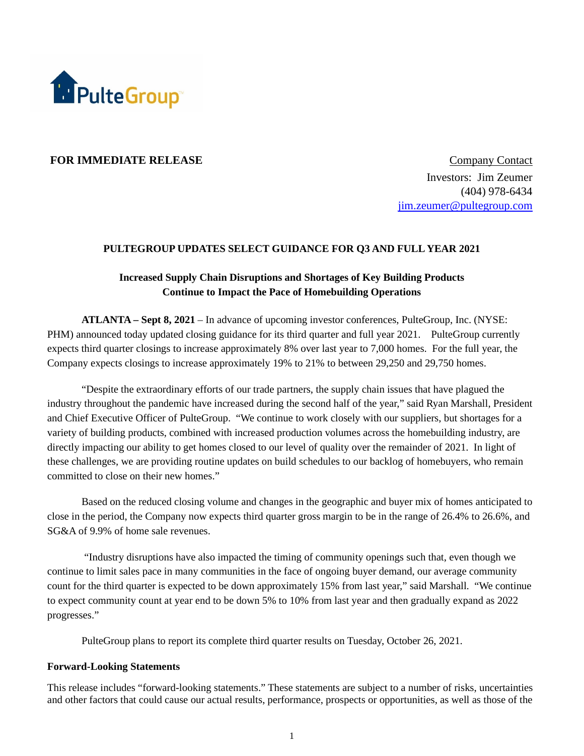

## **FOR IMMEDIATE RELEASE** Company Contact

Investors: Jim Zeumer (404) 978-6434 [jim.zeumer@pultegroup.com](mailto:jim.zeumer@pultegroup.com)

#### **PULTEGROUP UPDATES SELECT GUIDANCE FOR Q3 AND FULL YEAR 2021**

# **Increased Supply Chain Disruptions and Shortages of Key Building Products Continue to Impact the Pace of Homebuilding Operations**

**ATLANTA – Sept 8, 2021** – In advance of upcoming investor conferences, PulteGroup, Inc. (NYSE: PHM) announced today updated closing guidance for its third quarter and full year 2021. PulteGroup currently expects third quarter closings to increase approximately 8% over last year to 7,000 homes. For the full year, the Company expects closings to increase approximately 19% to 21% to between 29,250 and 29,750 homes.

"Despite the extraordinary efforts of our trade partners, the supply chain issues that have plagued the industry throughout the pandemic have increased during the second half of the year," said Ryan Marshall, President and Chief Executive Officer of PulteGroup. "We continue to work closely with our suppliers, but shortages for a variety of building products, combined with increased production volumes across the homebuilding industry, are directly impacting our ability to get homes closed to our level of quality over the remainder of 2021. In light of these challenges, we are providing routine updates on build schedules to our backlog of homebuyers, who remain committed to close on their new homes."

Based on the reduced closing volume and changes in the geographic and buyer mix of homes anticipated to close in the period, the Company now expects third quarter gross margin to be in the range of 26.4% to 26.6%, and SG&A of 9.9% of home sale revenues.

"Industry disruptions have also impacted the timing of community openings such that, even though we continue to limit sales pace in many communities in the face of ongoing buyer demand, our average community count for the third quarter is expected to be down approximately 15% from last year," said Marshall. "We continue to expect community count at year end to be down 5% to 10% from last year and then gradually expand as 2022 progresses."

PulteGroup plans to report its complete third quarter results on Tuesday, October 26, 2021.

### **Forward-Looking Statements**

This release includes "forward-looking statements." These statements are subject to a number of risks, uncertainties and other factors that could cause our actual results, performance, prospects or opportunities, as well as those of the